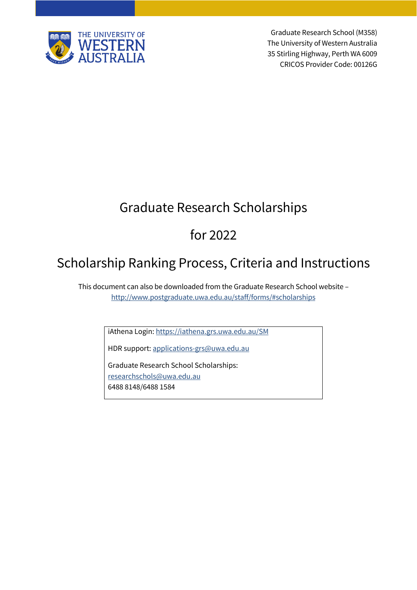

Graduate Research School (M358) The University of Western Australia 35 Stirling Highway, Perth WA 6009 CRICOS Provider Code: 00126G

# Graduate Research Scholarships

# for 2022

# Scholarship Ranking Process, Criteria and Instructions

This document can also be downloaded from the Graduate Research School website – <http://www.postgraduate.uwa.edu.au/staff/forms/#scholarships>

iAthena Login[: https://iathena.grs.uwa.edu.au/SM](https://iathena.grs.uwa.edu.au/SM)

HDR support: [applications-grs@uwa.edu.au](mailto:applications-grs@uwa.edu.au)

Graduate Research School Scholarships: [researchschols@uwa.edu.au](mailto:researchschols@uwa.edu.au) 6488 8148/6488 1584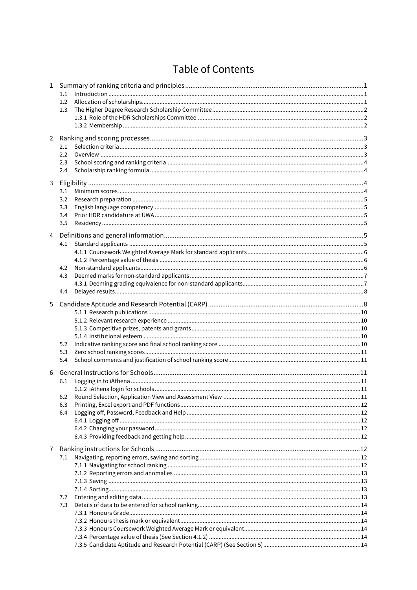# **Table of Contents**

| 1.1<br>1.2<br>1.3               |  |  |  |
|---------------------------------|--|--|--|
| 2<br>2.1<br>2.2<br>2.3<br>2.4   |  |  |  |
| 3.1<br>3.2<br>3.3<br>3.4<br>3.5 |  |  |  |
| 4<br>4.1<br>4.2<br>4.3<br>4.4   |  |  |  |
| 5.2<br>5.3<br>5.4               |  |  |  |
| 6.1<br>6.2<br>6.3<br>6.4        |  |  |  |
| 7.1<br>7.2<br>7.3               |  |  |  |
|                                 |  |  |  |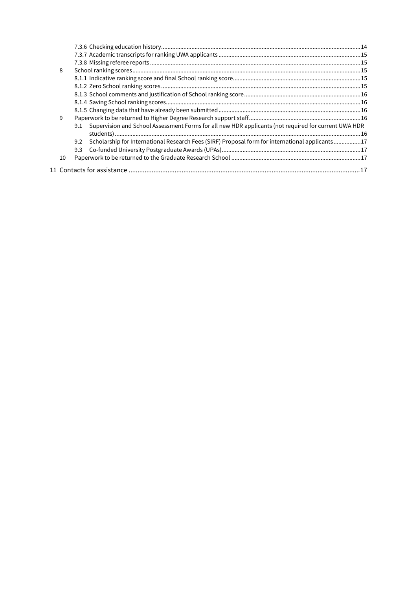| 8  |     |                                                                                                          |  |  |
|----|-----|----------------------------------------------------------------------------------------------------------|--|--|
|    |     |                                                                                                          |  |  |
|    |     |                                                                                                          |  |  |
|    |     |                                                                                                          |  |  |
|    |     |                                                                                                          |  |  |
|    |     |                                                                                                          |  |  |
| 9  |     |                                                                                                          |  |  |
|    |     | 9.1 Supervision and School Assessment Forms for all new HDR applicants (not required for current UWA HDR |  |  |
|    |     |                                                                                                          |  |  |
|    | 9.2 | Scholarship for International Research Fees (SIRF) Proposal form for international applicants17          |  |  |
|    | 9.3 |                                                                                                          |  |  |
| 10 |     |                                                                                                          |  |  |
|    |     |                                                                                                          |  |  |
|    |     |                                                                                                          |  |  |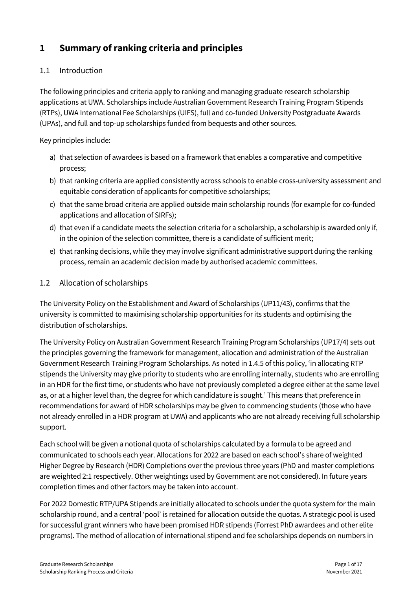# <span id="page-3-0"></span>**1 Summary of ranking criteria and principles**

# <span id="page-3-1"></span>1.1 Introduction

The following principles and criteria apply to ranking and managing graduate research scholarship applications at UWA. Scholarships include Australian Government Research Training Program Stipends (RTPs), UWA International Fee Scholarships (UIFS), full and co-funded University Postgraduate Awards (UPAs), and full and top-up scholarships funded from bequests and other sources.

Key principles include:

- a) that selection of awardees is based on a framework that enables a comparative and competitive process;
- b) that ranking criteria are applied consistently across schools to enable cross-university assessment and equitable consideration of applicants for competitive scholarships;
- c) that the same broad criteria are applied outside main scholarship rounds (for example for co-funded applications and allocation of SIRFs);
- d) that even if a candidate meets the selection criteria for a scholarship, a scholarship is awarded only if, in the opinion of the selection committee, there is a candidate of sufficient merit;
- e) that ranking decisions, while they may involve significant administrative support during the ranking process, remain an academic decision made by authorised academic committees.
- <span id="page-3-2"></span>1.2 Allocation of scholarships

The [University Policy on the Establishment and Award of Scholarships](mailto:heather.williams@uwa.edu.au?method=document&id=UP11%2F43) (UP11/43), confirms that the university is committed to maximising scholarship opportunities for its students and optimising the distribution of scholarships.

[The University Policy on Australian Government Research Training Program Scholarships](http://www.governance.uwa.edu.au/procedures/policies/policies-and-procedures?method=document&id=UP17%2F4) (UP17/4) sets out the principles governing the framework for management, allocation and administration of the Australian Government Research Training Program Scholarships. As noted in 1.4.5 of this policy, 'in allocating RTP stipends the University may give priority to students who are enrolling internally, students who are enrolling in an HDR for the first time, or students who have not previously completed a degree either at the same level as, or at a higher level than, the degree for which candidature is sought.' This means that preference in recommendations for award of HDR scholarships may be given to commencing students (those who have not already enrolled in a HDR program at UWA) and applicants who are not already receiving full scholarship support.

Each school will be given a notional quota of scholarships calculated by a formula to be agreed and communicated to schools each year. Allocations for 2022 are based on each school's share of weighted Higher Degree by Research (HDR) Completions over the previous three years (PhD and master completions are weighted 2:1 respectively. Other weightings used by Government are not considered). In future years completion times and other factors may be taken into account.

For 2022 Domestic RTP/UPA Stipends are initially allocated to schools under the quota system for the main scholarship round, and a central 'pool' is retained for allocation outside the quotas. A strategic pool is used for successful grant winners who have been promised HDR stipends (Forrest PhD awardees and other elite programs). The method of allocation of international stipend and fee scholarships depends on numbers in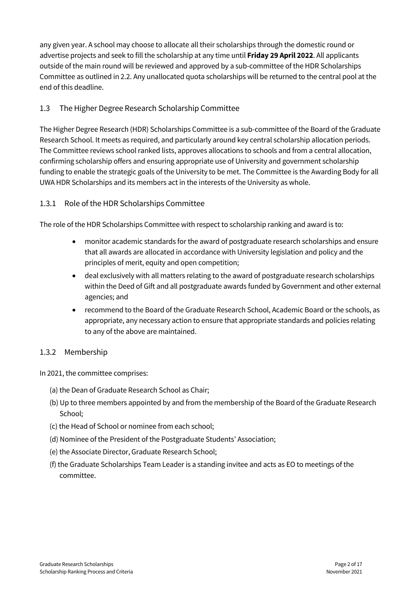any given year. A school may choose to allocate all their scholarships through the domestic round or advertise projects and seek to fill the scholarship at any time until **Friday 29 April 2022**. All applicants outside of the main round will be reviewed and approved by a sub-committee of the HDR Scholarships Committee as outlined in 2.2. Any unallocated quota scholarships will be returned to the central pool at the end of this deadline.

## <span id="page-4-0"></span>1.3 The Higher Degree Research Scholarship Committee

The Higher Degree Research (HDR) Scholarships Committee is a sub-committee of the Board of the Graduate Research School. It meets as required, and particularly around key central scholarship allocation periods. The Committee reviews school ranked lists, approves allocations to schools and from a central allocation, confirming scholarship offers and ensuring appropriate use of University and government scholarship funding to enable the strategic goals of the University to be met. The Committee is the Awarding Body for all UWA HDR Scholarships and its members act in the interests of the University as whole.

### <span id="page-4-1"></span>1.3.1 Role of the HDR Scholarships Committee

The role of the HDR Scholarships Committee with respect to scholarship ranking and award is to:

- monitor academic standards for the award of postgraduate research scholarships and ensure that all awards are allocated in accordance with University legislation and policy and the principles of merit, equity and open competition;
- deal exclusively with all matters relating to the award of postgraduate research scholarships within the Deed of Gift and all postgraduate awards funded by Government and other external agencies; and
- recommend to the Board of the Graduate Research School, Academic Board or the schools, as appropriate, any necessary action to ensure that appropriate standards and policies relating to any of the above are maintained.

#### <span id="page-4-2"></span>1.3.2 Membership

In 2021, the committee comprises:

- (a) the Dean of Graduate Research School as Chair;
- (b) Up to three members appointed by and from the membership of the Board of the Graduate Research School;
- (c) the Head of School or nominee from each school;
- (d) Nominee of the President of the Postgraduate Students' Association;
- (e) the Associate Director, Graduate Research School;
- (f) the Graduate Scholarships Team Leader is a standing invitee and acts as EO to meetings of the committee.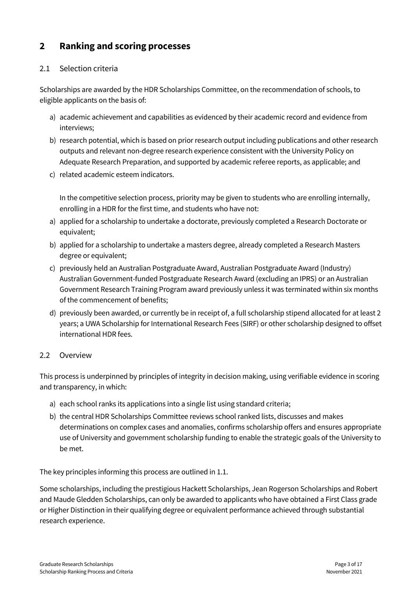# <span id="page-5-0"></span>**2 Ranking and scoring processes**

## <span id="page-5-1"></span>2.1 Selection criteria

Scholarships are awarded by the HDR Scholarships Committee, on the recommendation of schools, to eligible applicants on the basis of:

- a) academic achievement and capabilities as evidenced by their academic record and evidence from interviews;
- b) research potential, which is based on prior research output including publications and other research outputs and relevant non-degree research experience consistent with the University Policy on Adequate Research Preparation, and supported by academic referee reports, as applicable; and
- c) related academic esteem indicators.

In the competitive selection process, priority may be given to students who are enrolling internally, enrolling in a HDR for the first time, and students who have not:

- a) applied for a scholarship to undertake a doctorate, previously completed a Research Doctorate or equivalent;
- b) applied for a scholarship to undertake a masters degree, already completed a Research Masters degree or equivalent;
- c) previously held an Australian Postgraduate Award, Australian Postgraduate Award (Industry) Australian Government-funded Postgraduate Research Award (excluding an IPRS) or an Australian Government Research Training Program award previously unless it was terminated within six months of the commencement of benefits;
- d) previously been awarded, or currently be in receipt of, a full scholarship stipend allocated for at least 2 years; a UWA Scholarship for International Research Fees (SIRF) or other scholarship designed to offset international HDR fees.

#### <span id="page-5-2"></span>2.2 Overview

This process is underpinned by principles of integrity in decision making, using verifiable evidence in scoring and transparency, in which:

- a) each school ranks its applications into a single list using standard criteria;
- b) the central HDR Scholarships Committee reviews school ranked lists, discusses and makes determinations on complex cases and anomalies, confirms scholarship offers and ensures appropriate use of University and government scholarship funding to enable the strategic goals of the University to be met.

The key principles informing this process are outlined in 1.1.

Some scholarships, including the prestigious Hackett Scholarships, Jean Rogerson Scholarships and Robert and Maude Gledden Scholarships, can only be awarded to applicants who have obtained a First Class grade or Higher Distinction in their qualifying degree or equivalent performance achieved through substantial research experience.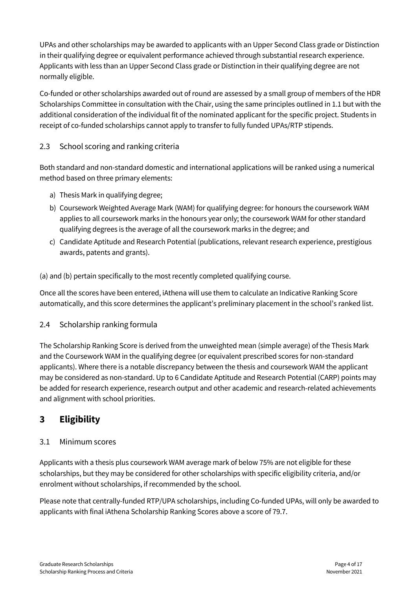UPAs and other scholarships may be awarded to applicants with an Upper Second Class grade or Distinction in their qualifying degree or equivalent performance achieved through substantial research experience. Applicants with less than an Upper Second Class grade or Distinction in their qualifying degree are not normally eligible.

Co-funded or other scholarships awarded out of round are assessed by a small group of members of the HDR Scholarships Committee in consultation with the Chair, using the same principles outlined in 1.1 but with the additional consideration of the individual fit of the nominated applicant for the specific project. Students in receipt of co-funded scholarships cannot apply to transfer to fully funded UPAs/RTP stipends.

## <span id="page-6-0"></span>2.3 School scoring and ranking criteria

Both standard and non-standard domestic and international applications will be ranked using a numerical method based on three primary elements:

- a) Thesis Mark in qualifying degree;
- b) Coursework Weighted Average Mark (WAM) for qualifying degree: for honours the coursework WAM applies to all coursework marks in the honours year only; the coursework WAM for other standard qualifying degrees is the average of all the coursework marks in the degree; and
- c) Candidate Aptitude and Research Potential (publications, relevant research experience, prestigious awards, patents and grants).

(a) and (b) pertain specifically to the most recently completed qualifying course.

Once all the scores have been entered, iAthena will use them to calculate an Indicative Ranking Score automatically, and this score determines the applicant's preliminary placement in the school's ranked list.

#### <span id="page-6-1"></span>2.4 Scholarship ranking formula

The Scholarship Ranking Score is derived from the unweighted mean (simple average) of the Thesis Mark and the Coursework WAM in the qualifying degree (or equivalent prescribed scores for non-standard applicants). Where there is a notable discrepancy between the thesis and coursework WAM the applicant may be considered as non-standard. Up to 6 Candidate Aptitude and Research Potential (CARP) points may be added for research experience, research output and other academic and research-related achievements and alignment with school priorities.

# <span id="page-6-2"></span>**3 Eligibility**

#### <span id="page-6-3"></span>3.1 Minimum scores

Applicants with a thesis plus coursework WAM average mark of below 75% are not eligible for these scholarships, but they may be considered for other scholarships with specific eligibility criteria, and/or enrolment without scholarships, if recommended by the school.

Please note that centrally-funded RTP/UPA scholarships, including Co-funded UPAs, will only be awarded to applicants with final iAthena Scholarship Ranking Scores above a score of 79.7.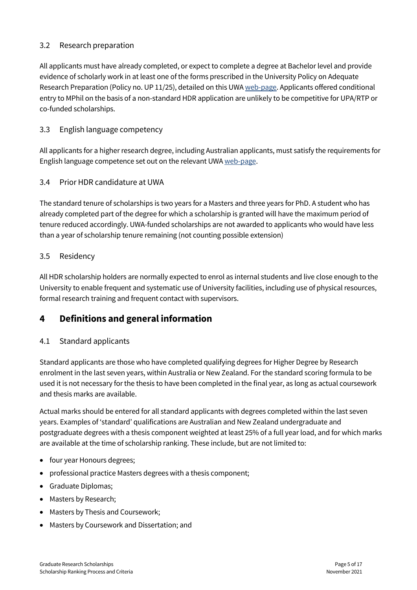## <span id="page-7-0"></span>3.2 Research preparation

All applicants must have already completed, or expect to complete a degree at Bachelor level and provide evidence of scholarly work in at least one of the forms prescribed in the University Policy on Adequate Research Preparation (Policy no. UP 11/25), detailed on this UW[A web-page.](https://www.governance.uwa.edu.au/procedures/policies/policies-and-procedures?policy=UP11%2F25) Applicants offered conditional entry to MPhil on the basis of a non-standard HDR application are unlikely to be competitive for UPA/RTP or co-funded scholarships.

### <span id="page-7-1"></span>3.3 English language competency

All applicants for a higher research degree, including Australian applicants, must satisfy the requirements for English language competence set out on the relevant UWA [web-page.](https://www.uwa.edu.au/study/how-to-apply/english-language-requirements/postgrad-research-english-language-requirements)

### <span id="page-7-2"></span>3.4 Prior HDR candidature at UWA

The standard tenure of scholarships is two years for a Masters and three years for PhD. A student who has already completed part of the degree for which a scholarship is granted will have the maximum period of tenure reduced accordingly. UWA-funded scholarships are not awarded to applicants who would have less than a year of scholarship tenure remaining (not counting possible extension)

#### <span id="page-7-3"></span>3.5 Residency

All HDR scholarship holders are normally expected to enrol as internal students and live close enough to the University to enable frequent and systematic use of University facilities, including use of physical resources, formal research training and frequent contact with supervisors.

# <span id="page-7-4"></span>**4 Definitions and general information**

#### <span id="page-7-5"></span>4.1 Standard applicants

Standard applicants are those who have completed qualifying degrees for Higher Degree by Research enrolment in the last seven years, within Australia or New Zealand. For the standard scoring formula to be used it is not necessary for the thesis to have been completed in the final year, as long as actual coursework and thesis marks are available.

Actual marks should be entered for all standard applicants with degrees completed within the last seven years. Examples of 'standard' qualifications are Australian and New Zealand undergraduate and postgraduate degrees with a thesis component weighted at least 25% of a full year load, and for which marks are available at the time of scholarship ranking. These include, but are not limited to:

- four year Honours degrees;
- professional practice Masters degrees with a thesis component;
- Graduate Diplomas;
- Masters by Research;
- Masters by Thesis and Coursework;
- Masters by Coursework and Dissertation; and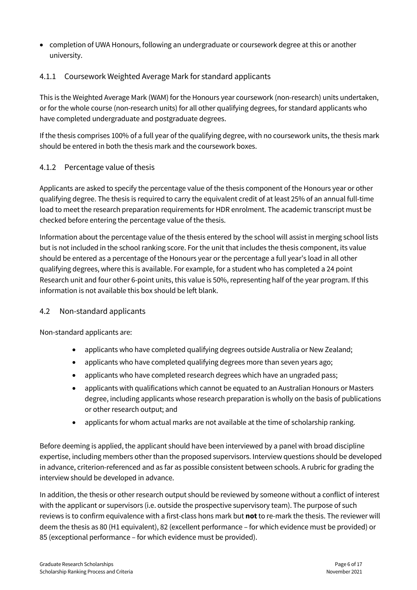• completion of UWA Honours, following an undergraduate or coursework degree at this or another university.

# <span id="page-8-0"></span>4.1.1 Coursework Weighted Average Mark for standard applicants

This is the Weighted Average Mark (WAM) for the Honours year coursework (non-research) units undertaken, or for the whole course (non-research units) for all other qualifying degrees, for standard applicants who have completed undergraduate and postgraduate degrees.

If the thesis comprises 100% of a full year of the qualifying degree, with no coursework units, the thesis mark should be entered in both the thesis mark and the coursework boxes.

# <span id="page-8-1"></span>4.1.2 Percentage value of thesis

Applicants are asked to specify the percentage value of the thesis component of the Honours year or other qualifying degree. The thesis is required to carry the equivalent credit of at least 25% of an annual full-time load to meet the research preparation requirements for HDR enrolment. The academic transcript must be checked before entering the percentage value of the thesis.

Information about the percentage value of the thesis entered by the school will assist in merging school lists but is not included in the school ranking score. For the unit that includes the thesis component, its value should be entered as a percentage of the Honours year or the percentage a full year's load in all other qualifying degrees, where this is available. For example, for a student who has completed a 24 point Research unit and four other 6-point units, this value is 50%, representing half of the year program. If this information is not available this box should be left blank.

# <span id="page-8-2"></span>4.2 Non-standard applicants

Non-standard applicants are:

- applicants who have completed qualifying degrees outside Australia or New Zealand;
- applicants who have completed qualifying degrees more than seven years ago;
- applicants who have completed research degrees which have an ungraded pass;
- applicants with qualifications which cannot be equated to an Australian Honours or Masters degree, including applicants whose research preparation is wholly on the basis of publications or other research output; and
- applicants for whom actual marks are not available at the time of scholarship ranking.

Before deeming is applied, the applicant should have been interviewed by a panel with broad discipline expertise, including members other than the proposed supervisors. Interview questions should be developed in advance, criterion-referenced and as far as possible consistent between schools. A rubric for grading the interview should be developed in advance.

In addition, the thesis or other research output should be reviewed by someone without a conflict of interest with the applicant or supervisors (i.e. outside the prospective supervisory team). The purpose of such reviews is to confirm equivalence with a first-class hons mark but **not**to re-mark the thesis. The reviewer will deem the thesis as 80 (H1 equivalent), 82 (excellent performance – for which evidence must be provided) or 85 (exceptional performance – for which evidence must be provided).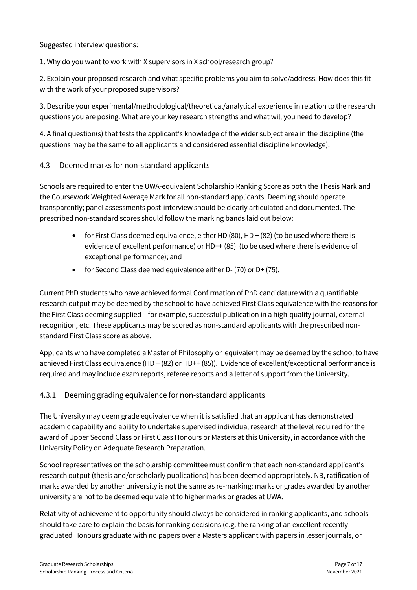Suggested interview questions:

1. Why do you want to work with X supervisors in X school/research group?

2. Explain your proposed research and what specific problems you aim to solve/address. How does this fit with the work of your proposed supervisors?

3. Describe your experimental/methodological/theoretical/analytical experience in relation to the research questions you are posing. What are your key research strengths and what will you need to develop?

4. A final question(s) that tests the applicant's knowledge of the wider subject area in the discipline (the questions may be the same to all applicants and considered essential discipline knowledge).

### <span id="page-9-0"></span>4.3 Deemed marks for non-standard applicants

Schools are required to enter the UWA-equivalent Scholarship Ranking Score as both the Thesis Mark and the Coursework Weighted Average Mark for all non-standard applicants. Deeming should operate transparently; panel assessments post-interview should be clearly articulated and documented. The prescribed non-standard scores should follow the marking bands laid out below:

- for First Class deemed equivalence, either HD  $(80)$ , HD  $+ (82)$  (to be used where there is evidence of excellent performance) or HD++ (85) (to be used where there is evidence of exceptional performance); and
- for Second Class deemed equivalence either D- (70) or D+ (75).

Current PhD students who have achieved formal Confirmation of PhD candidature with a quantifiable research output may be deemed by the school to have achieved First Class equivalence with the reasons for the First Class deeming supplied – for example, successful publication in a high-quality journal, external recognition, etc. These applicants may be scored as non-standard applicants with the prescribed nonstandard First Class score as above.

Applicants who have completed a Master of Philosophy or equivalent may be deemed by the school to have achieved First Class equivalence (HD + (82) or HD++ (85)). Evidence of excellent/exceptional performance is required and may include exam reports, referee reports and a letter of support from the University.

# <span id="page-9-1"></span>4.3.1 Deeming grading equivalence for non-standard applicants

The University may deem grade equivalence when it is satisfied that an applicant has demonstrated academic capability and ability to undertake supervised individual research at the level required for the award of Upper Second Class or First Class Honours or Masters at this University, in accordance with the University Policy on Adequate Research Preparation.

School representatives on the scholarship committee must confirm that each non-standard applicant's research output (thesis and/or scholarly publications) has been deemed appropriately. NB, ratification of marks awarded by another university is not the same as re-marking: marks or grades awarded by another university are not to be deemed equivalent to higher marks or grades at UWA.

Relativity of achievement to opportunity should always be considered in ranking applicants, and schools should take care to explain the basis for ranking decisions (e.g. the ranking of an excellent recentlygraduated Honours graduate with no papers over a Masters applicant with papers in lesser journals, or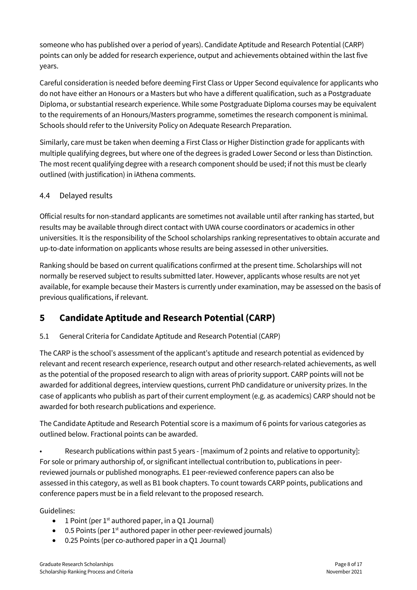someone who has published over a period of years). Candidate Aptitude and Research Potential (CARP) points can only be added for research experience, output and achievements obtained within the last five years.

Careful consideration is needed before deeming First Class or Upper Second equivalence for applicants who do not have either an Honours or a Masters but who have a different qualification, such as a Postgraduate Diploma, or substantial research experience. While some Postgraduate Diploma courses may be equivalent to the requirements of an Honours/Masters programme, sometimes the research component is minimal. Schools should refer to the University Policy on Adequate Research Preparation.

Similarly, care must be taken when deeming a First Class or Higher Distinction grade for applicants with multiple qualifying degrees, but where one of the degrees is graded Lower Second or less than Distinction. The most recent qualifying degree with a research component should be used; if not this must be clearly outlined (with justification) in iAthena comments.

# <span id="page-10-0"></span>4.4 Delayed results

Official results for non-standard applicants are sometimes not available until after ranking has started, but results may be available through direct contact with UWA course coordinators or academics in other universities. It is the responsibility of the School scholarships ranking representatives to obtain accurate and up-to-date information on applicants whose results are being assessed in other universities.

Ranking should be based on current qualifications confirmed at the present time. Scholarships will not normally be reserved subject to results submitted later. However, applicants whose results are not yet available, for example because their Masters is currently under examination, may be assessed on the basis of previous qualifications, if relevant.

# <span id="page-10-1"></span>**5 Candidate Aptitude and Research Potential (CARP)**

# 5.1 General Criteria for Candidate Aptitude and Research Potential (CARP)

The CARP is the school's assessment of the applicant's aptitude and research potential as evidenced by relevant and recent research experience, research output and other research-related achievements, as well as the potential of the proposed research to align with areas of priority support. CARP points will not be awarded for additional degrees, interview questions, current PhD candidature or university prizes. In the case of applicants who publish as part of their current employment (e.g. as academics) CARP should not be awarded for both research publications and experience.

The Candidate Aptitude and Research Potential score is a maximum of 6 points for various categories as outlined below. Fractional points can be awarded.

• Research publications within past 5 years - [maximum of 2 points and relative to opportunity]: For sole or primary authorship of, or significant intellectual contribution to, publications in peerreviewed journals or published monographs. E1 peer-reviewed conference papers can also be assessed in this category, as well as B1 book chapters. To count towards CARP points, publications and conference papers must be in a field relevant to the proposed research.

#### Guidelines:

- 1 Point (per  $1<sup>st</sup>$  authored paper, in a Q1 Journal)
- $\bullet$  0.5 Points (per 1<sup>st</sup> authored paper in other peer-reviewed journals)
- 0.25 Points (per co-authored paper in a Q1 Journal)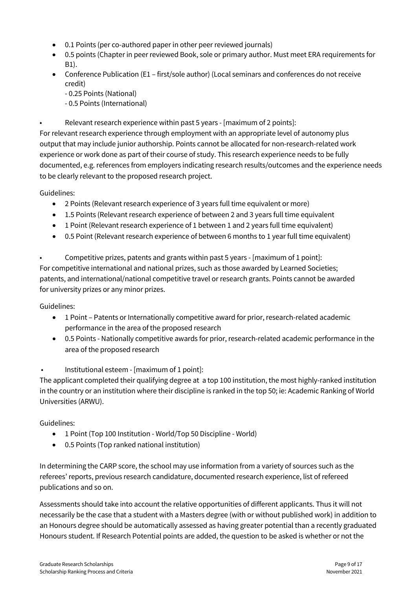- 0.1 Points (per co-authored paper in other peer reviewed journals)
- 0.5 points (Chapter in peer reviewed Book, sole or primary author. Must meet ERA requirements for B1).
- Conference Publication (E1 first/sole author) (Local seminars and conferences do not receive credit)
	- 0.25 Points (National)
	- 0.5 Points (International)
- Relevant research experience within past 5 years [maximum of 2 points]:

For relevant research experience through employment with an appropriate level of autonomy plus output that may include junior authorship. Points cannot be allocated for non-research-related work experience or work done as part of their course of study. This research experience needs to be fully documented, e.g. references from employers indicating research results/outcomes and the experience needs to be clearly relevant to the proposed research project.

#### Guidelines:

- 2 Points (Relevant research experience of 3 years full time equivalent or more)
- 1.5 Points (Relevant research experience of between 2 and 3 years full time equivalent
- 1 Point (Relevant research experience of 1 between 1 and 2 years full time equivalent)
- 0.5 Point (Relevant research experience of between 6 months to 1 year full time equivalent)

• Competitive prizes, patents and grants within past 5 years - [maximum of 1 point]: For competitive international and national prizes, such as those awarded by Learned Societies; patents, and international/national competitive travel or research grants. Points cannot be awarded for university prizes or any minor prizes.

#### Guidelines:

- 1 Point Patents or Internationally competitive award for prior, research-related academic performance in the area of the proposed research
- 0.5 Points Nationally competitive awards for prior, research-related academic performance in the area of the proposed research

#### • Institutional esteem - [maximum of 1 point]:

The applicant completed their qualifying degree at a top 100 institution, the most highly-ranked institution in the country or an institution where their discipline is ranked in the top 50; ie: Academic Ranking of World Universities (ARWU).

#### Guidelines:

- 1 Point (Top 100 Institution World/Top 50 Discipline World)
- 0.5 Points (Top ranked national institution)

In determining the CARP score, the school may use information from a variety of sources such as the referees' reports, previous research candidature, documented research experience, list of refereed publications and so on.

Assessments should take into account the relative opportunities of different applicants. Thus it will not necessarily be the case that a student with a Masters degree (with or without published work) in addition to an Honours degree should be automatically assessed as having greater potential than a recently graduated Honours student. If Research Potential points are added, the question to be asked is whether or not the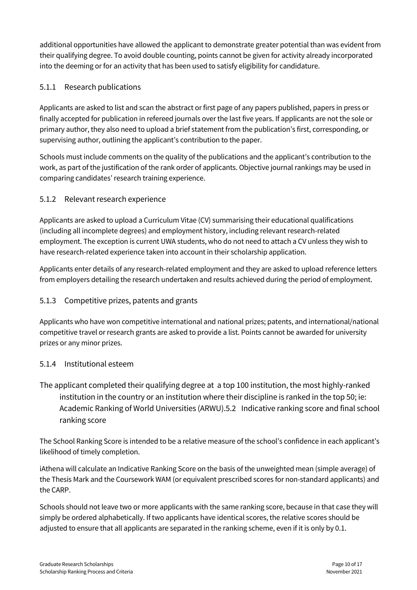additional opportunities have allowed the applicant to demonstrate greater potential than was evident from their qualifying degree. To avoid double counting, points cannot be given for activity already incorporated into the deeming or for an activity that has been used to satisfy eligibility for candidature.

# <span id="page-12-0"></span>5.1.1 Research publications

Applicants are asked to list and scan the abstract or first page of any papers published, papers in press or finally accepted for publication in refereed journals over the last five years. If applicants are not the sole or primary author, they also need to upload a brief statement from the publication's first, corresponding, or supervising author, outlining the applicant's contribution to the paper.

Schools must include comments on the quality of the publications and the applicant's contribution to the work, as part of the justification of the rank order of applicants. Objective journal rankings may be used in comparing candidates' research training experience.

# <span id="page-12-1"></span>5.1.2 Relevant research experience

Applicants are asked to upload a Curriculum Vitae (CV) summarising their educational qualifications (including all incomplete degrees) and employment history, including relevant research-related employment. The exception is current UWA students, who do not need to attach a CV unless they wish to have research-related experience taken into account in their scholarship application.

Applicants enter details of any research-related employment and they are asked to upload reference letters from employers detailing the research undertaken and results achieved during the period of employment.

# <span id="page-12-2"></span>5.1.3 Competitive prizes, patents and grants

Applicants who have won competitive international and national prizes; patents, and international/national competitive travel or research grants are asked to provide a list. Points cannot be awarded for university prizes or any minor prizes.

# <span id="page-12-3"></span>5.1.4 Institutional esteem

<span id="page-12-4"></span>The applicant completed their qualifying degree at a top 100 institution, the most highly-ranked institution in the country or an institution where their discipline is ranked in the top 50; ie: Academic Ranking of World Universities (ARWU).5.2 Indicative ranking score and final school ranking score

The School Ranking Score is intended to be a relative measure of the school's confidence in each applicant's likelihood of timely completion.

iAthena will calculate an Indicative Ranking Score on the basis of the unweighted mean (simple average) of the Thesis Mark and the Coursework WAM (or equivalent prescribed scores for non-standard applicants) and the CARP.

Schools should not leave two or more applicants with the same ranking score, because in that case they will simply be ordered alphabetically. If two applicants have identical scores, the relative scores should be adjusted to ensure that all applicants are separated in the ranking scheme, even if it is only by 0.1.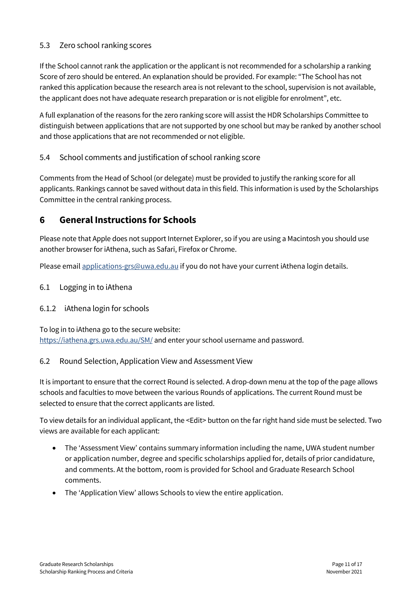## <span id="page-13-0"></span>5.3 Zero school ranking scores

If the School cannot rank the application or the applicant is not recommended for a scholarship a ranking Score of zero should be entered. An explanation should be provided. For example: "The School has not ranked this application because the research area is not relevant to the school, supervision is not available, the applicant does not have adequate research preparation or is not eligible for enrolment", etc.

A full explanation of the reasons for the zero ranking score will assist the HDR Scholarships Committee to distinguish between applications that are not supported by one school but may be ranked by another school and those applications that are not recommended or not eligible.

### <span id="page-13-1"></span>5.4 School comments and justification of school ranking score

Comments from the Head of School (or delegate) must be provided to justify the ranking score for all applicants. Rankings cannot be saved without data in this field. This information is used by the Scholarships Committee in the central ranking process.

# <span id="page-13-2"></span>**6 General Instructions for Schools**

Please note that Apple does not support Internet Explorer, so if you are using a Macintosh you should use another browser for iAthena, such as Safari, Firefox or Chrome.

Please emai[l applications-grs@uwa.edu.au](mailto:applications-grs@uwa.edu.au) if you do not have your current iAthena login details.

<span id="page-13-3"></span>6.1 Logging in to iAthena

#### <span id="page-13-4"></span>6.1.2 iAthena login for schools

To log in to iAthena go to the secure website: https://iathena.grs.uwa.edu.au/SM/ and enter your school username and password.

#### <span id="page-13-5"></span>6.2 Round Selection, Application View and Assessment View

It is important to ensure that the correct Round is selected. A drop-down menu at the top of the page allows schools and faculties to move between the various Rounds of applications. The current Round must be selected to ensure that the correct applicants are listed.

To view details for an individual applicant, the <Edit> button on the far right hand side must be selected. Two views are available for each applicant:

- The 'Assessment View' contains summary information including the name, UWA student number or application number, degree and specific scholarships applied for, details of prior candidature, and comments. At the bottom, room is provided for School and Graduate Research School comments.
- The 'Application View' allows Schools to view the entire application.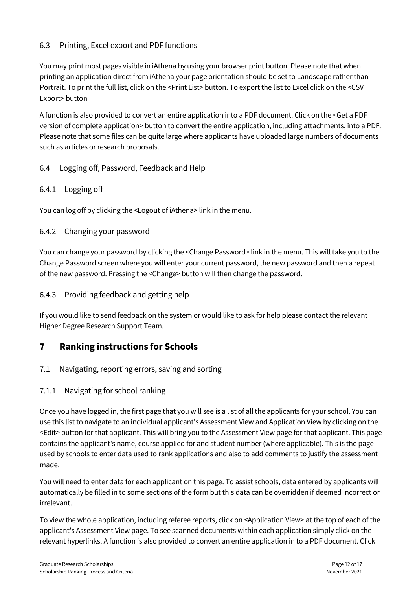## <span id="page-14-0"></span>6.3 Printing, Excel export and PDF functions

You may print most pages visible in iAthena by using your browser print button. Please note that when printing an application direct from iAthena your page orientation should be set to Landscape rather than Portrait. To print the full list, click on the <Print List> button. To export the list to Excel click on the <CSV Export> button

A function is also provided to convert an entire application into a PDF document. Click on the <Get a PDF version of complete application> button to convert the entire application, including attachments, into a PDF. Please note that some files can be quite large where applicants have uploaded large numbers of documents such as articles or research proposals.

### <span id="page-14-1"></span>6.4 Logging off, Password, Feedback and Help

#### <span id="page-14-2"></span>6.4.1 Logging off

You can log off by clicking the <Logout of iAthena> link in the menu.

### <span id="page-14-3"></span>6.4.2 Changing your password

You can change your password by clicking the <Change Password> link in the menu. This will take you to the Change Password screen where you will enter your current password, the new password and then a repeat of the new password. Pressing the <Change> button will then change the password.

#### <span id="page-14-4"></span>6.4.3 Providing feedback and getting help

If you would like to send feedback on the system or would like to ask for help please contact the relevant Higher Degree Research Support Team.

# <span id="page-14-5"></span>**7 Ranking instructions for Schools**

<span id="page-14-6"></span>7.1 Navigating, reporting errors, saving and sorting

#### <span id="page-14-7"></span>7.1.1 Navigating for school ranking

Once you have logged in, the first page that you will see is a list of all the applicants for your school. You can use this list to navigate to an individual applicant's Assessment View and Application View by clicking on the <Edit> button for that applicant. This will bring you to the Assessment View page for that applicant. This page contains the applicant's name, course applied for and student number (where applicable). This is the page used by schools to enter data used to rank applications and also to add comments to justify the assessment made.

You will need to enter data for each applicant on this page. To assist schools, data entered by applicants will automatically be filled in to some sections of the form but this data can be overridden if deemed incorrect or irrelevant.

To view the whole application, including referee reports, click on <Application View> at the top of each of the applicant's Assessment View page. To see scanned documents within each application simply click on the relevant hyperlinks. A function is also provided to convert an entire application in to a PDF document. Click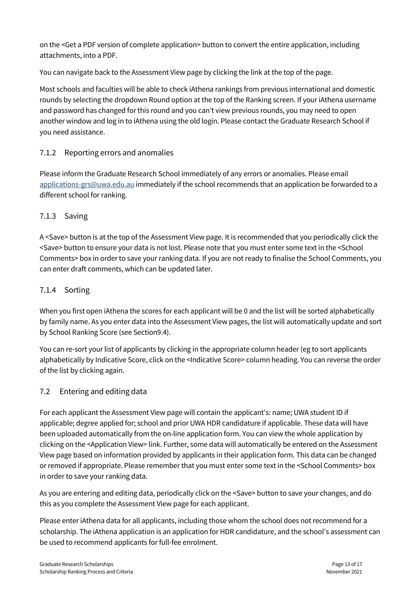on the <Get a PDF version of complete application> button to convert the entire application, including attachments, into a PDF.

You can navigate back to the Assessment View page by clicking the link at the top of the page.

Most schools and faculties will be able to check iAthena rankings from previous international and domestic rounds by selecting the dropdown Round option at the top of the Ranking screen. If your iAthena username and password has changed for this round and you can't view previous rounds, you may need to open another window and log in to iAthena using the old login. Please contact the Graduate Research School if you need assistance.

# <span id="page-15-0"></span>7.1.2 Reporting errors and anomalies

Please inform the Graduate Research School immediately of any errors or anomalies. Please email [applications-grs@uwa.edu.au](mailto:applications-grs@uwa.edu.au) immediately if the school recommends that an application be forwarded to a different school for ranking.

# <span id="page-15-1"></span>7.1.3 Saving

A <Save> button is at the top of the Assessment View page. It is recommended that you periodically click the <Save> button to ensure your data is not lost. Please note that you must enter some text in the <School Comments> box in order to save your ranking data. If you are not ready to finalise the School Comments, you can enter draft comments, which can be updated later.

# <span id="page-15-2"></span>7.1.4 Sorting

When you first open iAthena the scores for each applicant will be 0 and the list will be sorted alphabetically by family name. As you enter data into the Assessment View pages, the list will automatically update and sort by School Ranking Score (see Section9.4).

You can re-sort your list of applicants by clicking in the appropriate column header (eg to sort applicants alphabetically by Indicative Score, click on the <Indicative Score> column heading. You can reverse the order of the list by clicking again.

# <span id="page-15-3"></span>7.2 Entering and editing data

For each applicant the Assessment View page will contain the applicant's: name; UWA student ID if applicable; degree applied for; school and prior UWA HDR candidature if applicable. These data will have been uploaded automatically from the on-line application form. You can view the whole application by clicking on the <Application View> link. Further, some data will automatically be entered on the Assessment View page based on information provided by applicants in their application form. This data can be changed or removed if appropriate. Please remember that you must enter some text in the <School Comments> box in order to save your ranking data.

As you are entering and editing data, periodically click on the <Save> button to save your changes, and do this as you complete the Assessment View page for each applicant.

Please enter iAthena data for all applicants, including those whom the school does not recommend for a scholarship. The iAthena application is an application for HDR candidature, and the school's assessment can be used to recommend applicants for full-fee enrolment.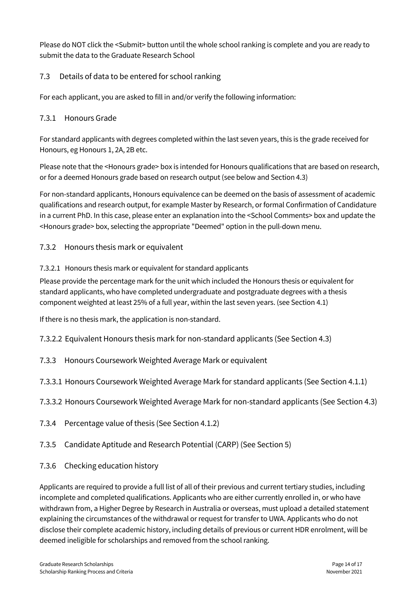Please do NOT click the <Submit> button until the whole school ranking is complete and you are ready to submit the data to the Graduate Research School

# <span id="page-16-0"></span>7.3 Details of data to be entered for school ranking

For each applicant, you are asked to fill in and/or verify the following information:

# <span id="page-16-1"></span>7.3.1 Honours Grade

For standard applicants with degrees completed within the last seven years, this is the grade received for Honours, eg Honours 1, 2A, 2B etc.

Please note that the <Honours grade> box is intended for Honours qualifications that are based on research, or for a deemed Honours grade based on research output (see below and Section 4.3)

For non-standard applicants, Honours equivalence can be deemed on the basis of assessment of academic qualifications and research output, for example Master by Research, or formal Confirmation of Candidature in a current PhD. In this case, please enter an explanation into the <School Comments> box and update the <Honours grade> box, selecting the appropriate "Deemed" option in the pull-down menu.

# <span id="page-16-2"></span>7.3.2 Honours thesis mark or equivalent

### 7.3.2.1 Honours thesis mark or equivalent for standard applicants

Please provide the percentage mark for the unit which included the Honours thesis or equivalent for standard applicants, who have completed undergraduate and postgraduate degrees with a thesis component weighted at least 25% of a full year, within the last seven years. (see Section 4.1)

If there is no thesis mark, the application is non-standard.

7.3.2.2 Equivalent Honours thesis mark for non-standard applicants (See Section 4.3)

- <span id="page-16-3"></span>7.3.3 Honours Coursework Weighted Average Mark or equivalent
- 7.3.3.1 Honours Coursework Weighted Average Mark for standard applicants (See Section 4.1.1)
- 7.3.3.2 Honours Coursework Weighted Average Mark for non-standard applicants (See Section 4.3)
- <span id="page-16-4"></span>7.3.4 Percentage value of thesis (See Section 4.1.2)
- <span id="page-16-5"></span>7.3.5 Candidate Aptitude and Research Potential (CARP) (See Section 5)
- <span id="page-16-6"></span>7.3.6 Checking education history

Applicants are required to provide a full list of all of their previous and current tertiary studies, including incomplete and completed qualifications. Applicants who are either currently enrolled in, or who have withdrawn from, a Higher Degree by Research in Australia or overseas, must upload a detailed statement explaining the circumstances of the withdrawal or request for transfer to UWA. Applicants who do not disclose their complete academic history, including details of previous or current HDR enrolment, will be deemed ineligible for scholarships and removed from the school ranking.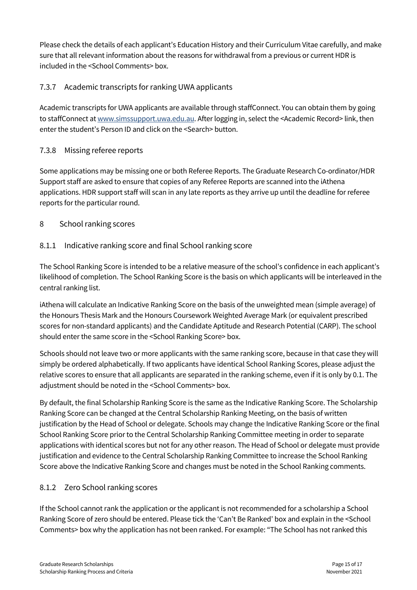Please check the details of each applicant's Education History and their Curriculum Vitae carefully, and make sure that all relevant information about the reasons for withdrawal from a previous or current HDR is included in the <School Comments> box.

# <span id="page-17-0"></span>7.3.7 Academic transcripts for ranking UWA applicants

Academic transcripts for UWA applicants are available through staffConnect. You can obtain them by going to staffConnect at [www.simssupport.uwa.edu.au.](http://www.simssupport.uwa.edu.au/) After logging in, select the <Academic Record> link, then enter the student's Person ID and click on the <Search> button.

# <span id="page-17-1"></span>7.3.8 Missing referee reports

Some applications may be missing one or both Referee Reports. The Graduate Research Co-ordinator/HDR Support staff are asked to ensure that copies of any Referee Reports are scanned into the iAthena applications. HDR support staff will scan in any late reports as they arrive up until the deadline for referee reports for the particular round.

# <span id="page-17-2"></span>8 School ranking scores

# <span id="page-17-3"></span>8.1.1 Indicative ranking score and final School ranking score

The School Ranking Score is intended to be a relative measure of the school's confidence in each applicant's likelihood of completion. The School Ranking Score is the basis on which applicants will be interleaved in the central ranking list.

iAthena will calculate an Indicative Ranking Score on the basis of the unweighted mean (simple average) of the Honours Thesis Mark and the Honours Coursework Weighted Average Mark (or equivalent prescribed scores for non-standard applicants) and the Candidate Aptitude and Research Potential (CARP). The school should enter the same score in the <School Ranking Score> box.

Schools should not leave two or more applicants with the same ranking score, because in that case they will simply be ordered alphabetically. If two applicants have identical School Ranking Scores, please adjust the relative scores to ensure that all applicants are separated in the ranking scheme, even if it is only by 0.1. The adjustment should be noted in the <School Comments> box.

By default, the final Scholarship Ranking Score is the same as the Indicative Ranking Score. The Scholarship Ranking Score can be changed at the Central Scholarship Ranking Meeting, on the basis of written justification by the Head of School or delegate. Schools may change the Indicative Ranking Score or the final School Ranking Score prior to the Central Scholarship Ranking Committee meeting in order to separate applications with identical scores but not for any other reason. The Head of School or delegate must provide justification and evidence to the Central Scholarship Ranking Committee to increase the School Ranking Score above the Indicative Ranking Score and changes must be noted in the School Ranking comments.

# <span id="page-17-4"></span>8.1.2 Zero School ranking scores

If the School cannot rank the application or the applicant is not recommended for a scholarship a School Ranking Score of zero should be entered. Please tick the 'Can't Be Ranked' box and explain in the <School Comments> box why the application has not been ranked. For example: "The School has not ranked this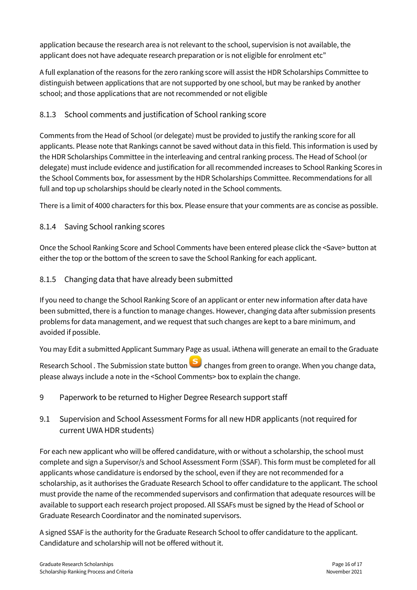application because the research area is not relevant to the school, supervision is not available, the applicant does not have adequate research preparation or is not eligible for enrolment etc"

A full explanation of the reasons for the zero ranking score will assist the HDR Scholarships Committee to distinguish between applications that are not supported by one school, but may be ranked by another school; and those applications that are not recommended or not eligible

# <span id="page-18-0"></span>8.1.3 School comments and justification of School ranking score

Comments from the Head of School (or delegate) must be provided to justify the ranking score for all applicants. Please note that Rankings cannot be saved without data in this field. This information is used by the HDR Scholarships Committee in the interleaving and central ranking process. The Head of School (or delegate) must include evidence and justification for all recommended increases to School Ranking Scores in the School Comments box, for assessment by the HDR Scholarships Committee. Recommendations for all full and top up scholarships should be clearly noted in the School comments.

There is a limit of 4000 characters for this box. Please ensure that your comments are as concise as possible.

### <span id="page-18-1"></span>8.1.4 Saving School ranking scores

Once the School Ranking Score and School Comments have been entered please click the <Save> button at either the top or the bottom of the screen to save the School Ranking for each applicant.

#### <span id="page-18-2"></span>8.1.5 Changing data that have already been submitted

If you need to change the School Ranking Score of an applicant or enter new information after data have been submitted, there is a function to manage changes. However, changing data after submission presents problems for data management, and we request that such changes are kept to a bare minimum, and avoided if possible.

You may Edit a submitted Applicant Summary Page as usual. iAthena will generate an email to the Graduate

Research School . The Submission state button **S** changes from green to orange. When you change data, please always include a note in the <School Comments> box to explain the change.

- <span id="page-18-3"></span>9 Paperwork to be returned to Higher Degree Research support staff
- <span id="page-18-4"></span>9.1 Supervision and School Assessment Forms for all new HDR applicants (not required for current UWA HDR students)

For each new applicant who will be offered candidature, with or without a scholarship, the school must complete and sign a Supervisor/s and School Assessment Form (SSAF). This form must be completed for all applicants whose candidature is endorsed by the school, even if they are not recommended for a scholarship, as it authorises the Graduate Research School to offer candidature to the applicant. The school must provide the name of the recommended supervisors and confirmation that adequate resources will be available to support each research project proposed. All SSAFs must be signed by the Head of School or Graduate Research Coordinator and the nominated supervisors.

A signed SSAF is the authority for the Graduate Research School to offer candidature to the applicant. Candidature and scholarship will not be offered without it.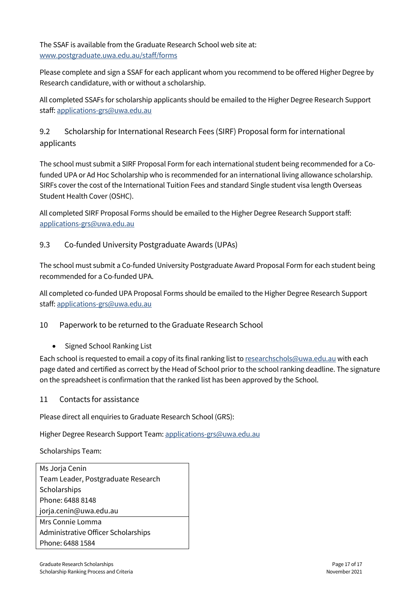The SSAF is available from the Graduate Research School web site at: [www.postgraduate.uwa.edu.au/staff/forms](http://www.postgraduate.uwa.edu.au/staff/forms)

Please complete and sign a SSAF for each applicant whom you recommend to be offered Higher Degree by Research candidature, with or without a scholarship.

All completed SSAFs for scholarship applicants should be emailed to the Higher Degree Research Support staff: [applications-grs@uwa.edu.au](mailto:applications-grs@uwa.edu.au)

# <span id="page-19-0"></span>9.2 Scholarship for International Research Fees (SIRF) Proposal form for international applicants

The school must submit a SIRF Proposal Form for each international student being recommended for a Cofunded UPA or Ad Hoc Scholarship who is recommended for an international living allowance scholarship. SIRFs cover the cost of the International Tuition Fees and standard Single student visa length Overseas Student Health Cover (OSHC).

All completed SIRF Proposal Forms should be emailed to the Higher Degree Research Support staff: [applications-grs@uwa.edu.au](mailto:applications-grs@uwa.edu.au)

### <span id="page-19-1"></span>9.3 Co-funded University Postgraduate Awards (UPAs)

The school must submit a Co-funded University Postgraduate Award Proposal Form for each student being recommended for a Co-funded UPA.

All completed co-funded UPA Proposal Forms should be emailed to the Higher Degree Research Support staff: [applications-grs@uwa.edu.au](mailto:applications-grs@uwa.edu.au)

# <span id="page-19-2"></span>10 Paperwork to be returned to the Graduate Research School

• Signed School Ranking List

Each school is requested to email a copy of its final ranking list t[o researchschols@uwa.edu.au](mailto:researchschols@uwa.edu.au) with each page dated and certified as correct by the Head of School prior to the school ranking deadline. The signature on the spreadsheet is confirmation that the ranked list has been approved by the School.

#### <span id="page-19-3"></span>11 Contacts for assistance

Please direct all enquiries to Graduate Research School (GRS):

Higher Degree Research Support Team: applications-grs@uwa.edu.au

Scholarships Team: